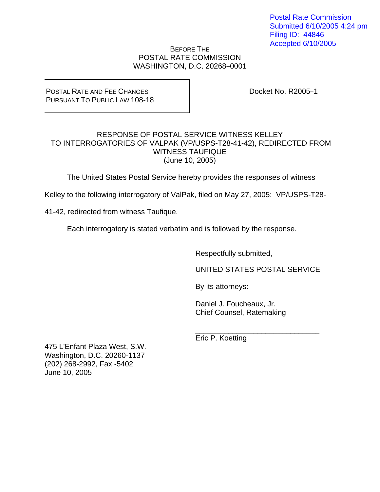Postal Rate Commission Submitted 6/10/2005 4:24 pm Filing ID: 44846 Accepted 6/10/2005

BEFORE THE POSTAL RATE COMMISSION WASHINGTON, D.C. 20268-0001

POSTAL RATE AND FEE CHANGES PURSUANT TO PUBLIC LAW 108-18 Docket No. R2005-1

# RESPONSE OF POSTAL SERVICE WITNESS KELLEY TO INTERROGATORIES OF VALPAK (VP/USPS-T28-41-42), REDIRECTED FROM WITNESS TAUFIQUE (June 10, 2005)

The United States Postal Service hereby provides the responses of witness

Kelley to the following interrogatory of ValPak, filed on May 27, 2005: VP/USPS-T28-

41-42, redirected from witness Taufique.

Each interrogatory is stated verbatim and is followed by the response.

Respectfully submitted,

UNITED STATES POSTAL SERVICE

By its attorneys:

 Daniel J. Foucheaux, Jr. Chief Counsel, Ratemaking

 $\_$ Eric P. Koetting

475 L'Enfant Plaza West, S.W. Washington, D.C. 20260-1137 (202) 268-2992, Fax -5402 June 10, 2005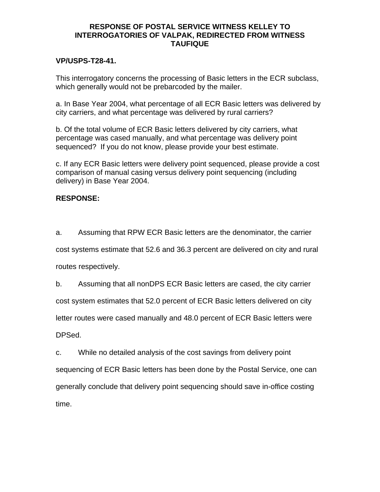## **RESPONSE OF POSTAL SERVICE WITNESS KELLEY TO INTERROGATORIES OF VALPAK, REDIRECTED FROM WITNESS TAUFIQUE**

## **VP/USPS-T28-41.**

This interrogatory concerns the processing of Basic letters in the ECR subclass, which generally would not be prebarcoded by the mailer.

a. In Base Year 2004, what percentage of all ECR Basic letters was delivered by city carriers, and what percentage was delivered by rural carriers?

b. Of the total volume of ECR Basic letters delivered by city carriers, what percentage was cased manually, and what percentage was delivery point sequenced? If you do not know, please provide your best estimate.

c. If any ECR Basic letters were delivery point sequenced, please provide a cost comparison of manual casing versus delivery point sequencing (including delivery) in Base Year 2004.

# **RESPONSE:**

a. Assuming that RPW ECR Basic letters are the denominator, the carrier cost systems estimate that 52.6 and 36.3 percent are delivered on city and rural routes respectively.

b. Assuming that all nonDPS ECR Basic letters are cased, the city carrier cost system estimates that 52.0 percent of ECR Basic letters delivered on city letter routes were cased manually and 48.0 percent of ECR Basic letters were DPSed.

c. While no detailed analysis of the cost savings from delivery point sequencing of ECR Basic letters has been done by the Postal Service, one can generally conclude that delivery point sequencing should save in-office costing time.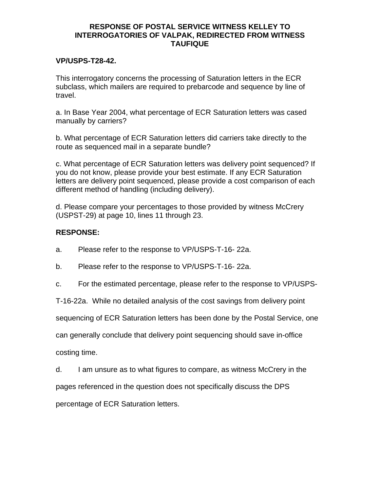## **RESPONSE OF POSTAL SERVICE WITNESS KELLEY TO INTERROGATORIES OF VALPAK, REDIRECTED FROM WITNESS TAUFIQUE**

## **VP/USPS-T28-42.**

This interrogatory concerns the processing of Saturation letters in the ECR subclass, which mailers are required to prebarcode and sequence by line of travel.

a. In Base Year 2004, what percentage of ECR Saturation letters was cased manually by carriers?

b. What percentage of ECR Saturation letters did carriers take directly to the route as sequenced mail in a separate bundle?

c. What percentage of ECR Saturation letters was delivery point sequenced? If you do not know, please provide your best estimate. If any ECR Saturation letters are delivery point sequenced, please provide a cost comparison of each different method of handling (including delivery).

d. Please compare your percentages to those provided by witness McCrery (USPST-29) at page 10, lines 11 through 23.

# **RESPONSE:**

- a. Please refer to the response to VP/USPS-T-16- 22a.
- b. Please refer to the response to VP/USPS-T-16- 22a.
- c. For the estimated percentage, please refer to the response to VP/USPS-

T-16-22a. While no detailed analysis of the cost savings from delivery point

sequencing of ECR Saturation letters has been done by the Postal Service, one

can generally conclude that delivery point sequencing should save in-office

costing time.

d. I am unsure as to what figures to compare, as witness McCrery in the pages referenced in the question does not specifically discuss the DPS percentage of ECR Saturation letters.